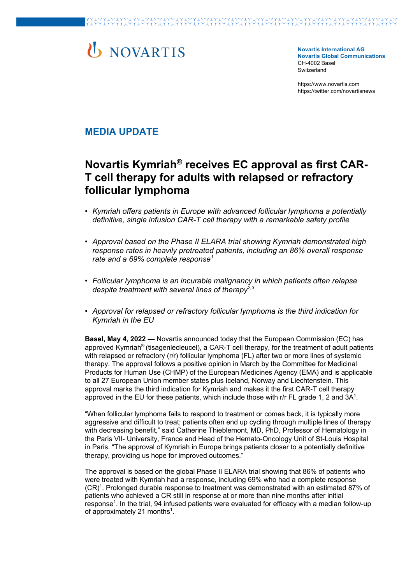# **U** NOVARTIS

**Novartis International AG Novartis Global Communications**  CH-4002 Basel **Switzerland** 

https://www.novartis.com https://twitter.com/novartisnews

### **MEDIA UPDATE**

## **Novartis Kymriah® receives EC approval as first CAR-T cell therapy for adults with relapsed or refractory follicular lymphoma**

- *Kymriah offers patients in Europe with advanced follicular lymphoma a potentially definitive, single infusion CAR-T cell therapy with a remarkable safety profile*
- *Approval based on the Phase II ELARA trial showing Kymriah demonstrated high response rates in heavily pretreated patients, including an 86% overall response rate and a 69% complete response<sup>1</sup>*
- *Follicular lymphoma is an incurable malignancy in which patients often relapse despite treatment with several lines of therapy2,3*
- *Approval for relapsed or refractory follicular lymphoma is the third indication for Kymriah in the EU*

**Basel, May 4, 2022** — Novartis announced today that the European Commission (EC) has approved Kymriah® (tisagenlecleucel), a CAR-T cell therapy, for the treatment of adult patients with relapsed or refractory (r/r) follicular lymphoma (FL) after two or more lines of systemic therapy. The approval follows a positive opinion in March by the Committee for Medicinal Products for Human Use (CHMP) of the European Medicines Agency (EMA) and is applicable to all 27 European Union member states plus Iceland, Norway and Liechtenstein. This approval marks the third indication for Kymriah and makes it the first CAR-T cell therapy approved in the EU for these patients, which include those with r/r FL grade 1, 2 and  $3A<sup>1</sup>$ .

"When follicular lymphoma fails to respond to treatment or comes back, it is typically more aggressive and difficult to treat; patients often end up cycling through multiple lines of therapy with decreasing benefit," said Catherine Thieblemont, MD, PhD, Professor of Hematology in the Paris VII- University, France and Head of the Hemato-Oncology Unit of St-Louis Hospital in Paris. "The approval of Kymriah in Europe brings patients closer to a potentially definitive therapy, providing us hope for improved outcomes."

The approval is based on the global Phase II ELARA trial showing that 86% of patients who were treated with Kymriah had a response, including 69% who had a complete response (CR)1. Prolonged durable response to treatment was demonstrated with an estimated 87% of patients who achieved a CR still in response at or more than nine months after initial response<sup>1</sup>. In the trial, 94 infused patients were evaluated for efficacy with a median follow-up of approximately 21 months<sup>1</sup>.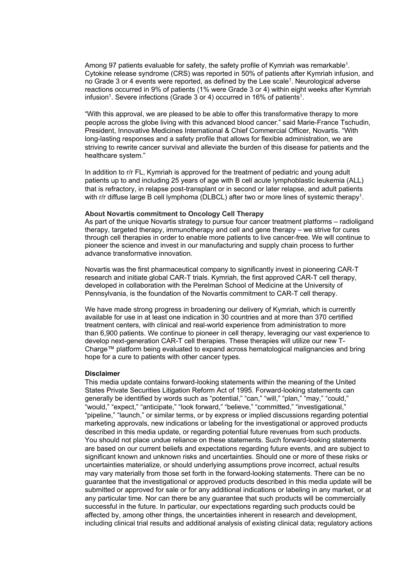Among 97 patients evaluable for safety, the safety profile of Kymriah was remarkable<sup>1</sup>. Cytokine release syndrome (CRS) was reported in 50% of patients after Kymriah infusion, and no Grade 3 or 4 events were reported, as defined by the Lee scale1. Neurological adverse reactions occurred in 9% of patients (1% were Grade 3 or 4) within eight weeks after Kymriah infusion<sup>1</sup>. Severe infections (Grade 3 or 4) occurred in 16% of patients<sup>1</sup>.

"With this approval, we are pleased to be able to offer this transformative therapy to more people across the globe living with this advanced blood cancer," said Marie-France Tschudin, President, Innovative Medicines International & Chief Commercial Officer, Novartis. "With long-lasting responses and a safety profile that allows for flexible administration, we are striving to rewrite cancer survival and alleviate the burden of this disease for patients and the healthcare system."

In addition to r/r FL, Kymriah is approved for the treatment of pediatric and young adult patients up to and including 25 years of age with B cell acute lymphoblastic leukemia (ALL) that is refractory, in relapse post-transplant or in second or later relapse, and adult patients with r/r diffuse large B cell lymphoma (DLBCL) after two or more lines of systemic therapy<sup>1</sup>.

#### **About Novartis commitment to Oncology Cell Therapy**

As part of the unique Novartis strategy to pursue four cancer treatment platforms – radioligand therapy, targeted therapy, immunotherapy and cell and gene therapy – we strive for cures through cell therapies in order to enable more patients to live cancer-free. We will continue to pioneer the science and invest in our manufacturing and supply chain process to further advance transformative innovation.

Novartis was the first pharmaceutical company to significantly invest in pioneering CAR-T research and initiate global CAR-T trials. Kymriah, the first approved CAR-T cell therapy, developed in collaboration with the Perelman School of Medicine at the University of Pennsylvania, is the foundation of the Novartis commitment to CAR-T cell therapy.

We have made strong progress in broadening our delivery of Kymriah, which is currently available for use in at least one indication in 30 countries and at more than 370 certified treatment centers, with clinical and real-world experience from administration to more than 6,900 patients. We continue to pioneer in cell therapy, leveraging our vast experience to develop next-generation CAR-T cell therapies. These therapies will utilize our new T-Charge™ platform being evaluated to expand across hematological malignancies and bring hope for a cure to patients with other cancer types.

#### **Disclaimer**

This media update contains forward-looking statements within the meaning of the United States Private Securities Litigation Reform Act of 1995. Forward-looking statements can generally be identified by words such as "potential," "can," "will," "plan," "may," "could," "would," "expect," "anticipate," "look forward," "believe," "committed," "investigational," "pipeline," "launch," or similar terms, or by express or implied discussions regarding potential marketing approvals, new indications or labeling for the investigational or approved products described in this media update, or regarding potential future revenues from such products. You should not place undue reliance on these statements. Such forward-looking statements are based on our current beliefs and expectations regarding future events, and are subject to significant known and unknown risks and uncertainties. Should one or more of these risks or uncertainties materialize, or should underlying assumptions prove incorrect, actual results may vary materially from those set forth in the forward-looking statements. There can be no guarantee that the investigational or approved products described in this media update will be submitted or approved for sale or for any additional indications or labeling in any market, or at any particular time. Nor can there be any guarantee that such products will be commercially successful in the future. In particular, our expectations regarding such products could be affected by, among other things, the uncertainties inherent in research and development, including clinical trial results and additional analysis of existing clinical data; regulatory actions